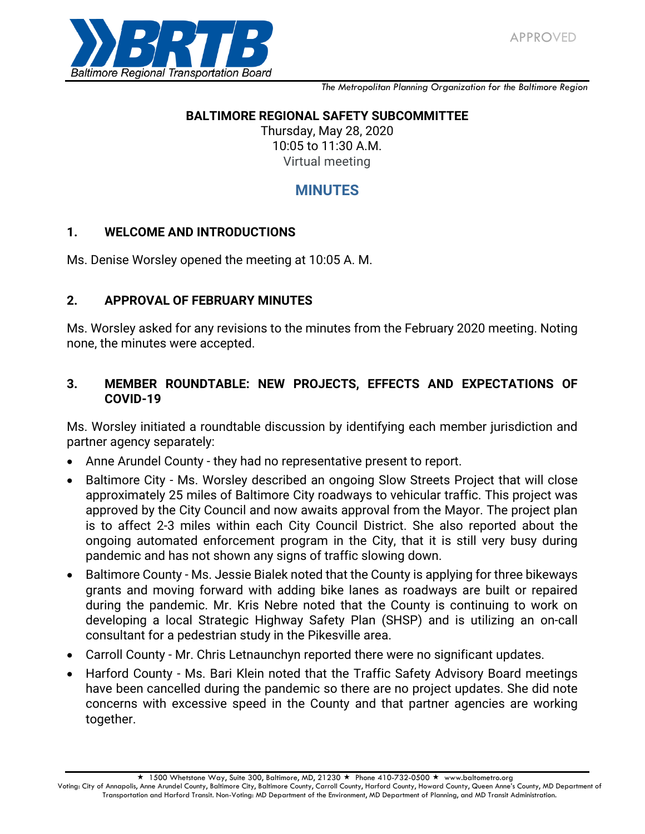

*The Metropolitan Planning Organization for the Baltimore Region*

### **BALTIMORE REGIONAL SAFETY SUBCOMMITTEE**

Thursday, May 28, 2020 10:05 to 11:30 A.M. Virtual meeting

# **MINUTES**

### **1. WELCOME AND INTRODUCTIONS**

Ms. Denise Worsley opened the meeting at 10:05 A. M.

### **2. APPROVAL OF FEBRUARY MINUTES**

Ms. Worsley asked for any revisions to the minutes from the February 2020 meeting. Noting none, the minutes were accepted.

### **3. MEMBER ROUNDTABLE: NEW PROJECTS, EFFECTS AND EXPECTATIONS OF COVID-19**

Ms. Worsley initiated a roundtable discussion by identifying each member jurisdiction and partner agency separately:

- Anne Arundel County they had no representative present to report.
- Baltimore City Ms. Worsley described an ongoing Slow Streets Project that will close approximately 25 miles of Baltimore City roadways to vehicular traffic. This project was approved by the City Council and now awaits approval from the Mayor. The project plan is to affect 2-3 miles within each City Council District. She also reported about the ongoing automated enforcement program in the City, that it is still very busy during pandemic and has not shown any signs of traffic slowing down.
- Baltimore County Ms. Jessie Bialek noted that the County is applying for three bikeways grants and moving forward with adding bike lanes as roadways are built or repaired during the pandemic. Mr. Kris Nebre noted that the County is continuing to work on developing a local Strategic Highway Safety Plan (SHSP) and is utilizing an on-call consultant for a pedestrian study in the Pikesville area.
- Carroll County Mr. Chris Letnaunchyn reported there were no significant updates.
- Harford County Ms. Bari Klein noted that the Traffic Safety Advisory Board meetings have been cancelled during the pandemic so there are no project updates. She did note concerns with excessive speed in the County and that partner agencies are working together.

 $\star$  1500 Whetstone Way, Suite 300, Baltimore, MD, 21230  $\star$  Phone 410-732-0500  $\star$  www.baltometro.org

Voting: City of Annapolis, Anne Arundel County, Baltimore City, Baltimore County, Carroll County, Harford County, Howard County, Queen Anne's County, MD Department of Transportation and Harford Transit. Non-Voting: MD Department of the Environment, MD Department of Planning, and MD Transit Administration.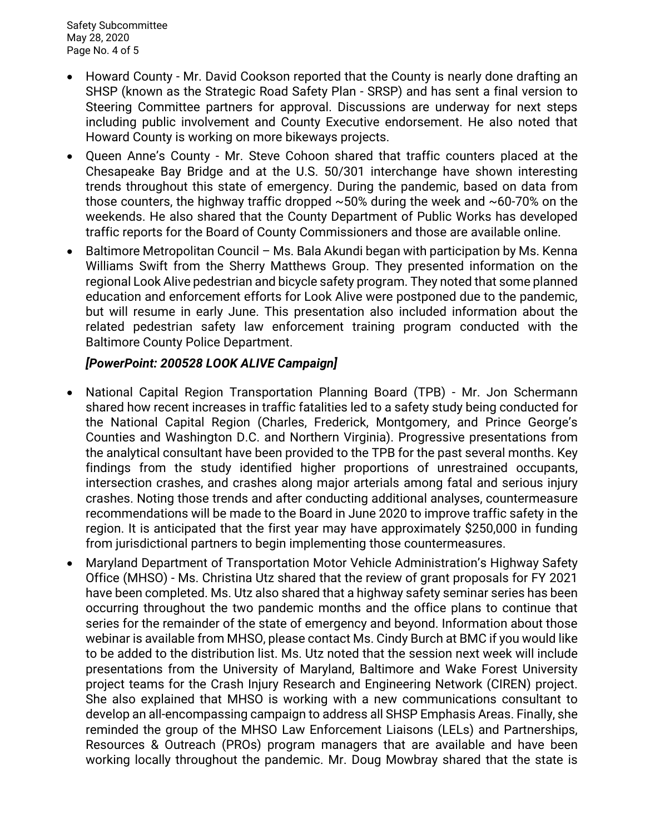- Howard County Mr. David Cookson reported that the County is nearly done drafting an SHSP (known as the Strategic Road Safety Plan - SRSP) and has sent a final version to Steering Committee partners for approval. Discussions are underway for next steps including public involvement and County Executive endorsement. He also noted that Howard County is working on more bikeways projects.
- Queen Anne's County Mr. Steve Cohoon shared that traffic counters placed at the Chesapeake Bay Bridge and at the U.S. 50/301 interchange have shown interesting trends throughout this state of emergency. During the pandemic, based on data from those counters, the highway traffic dropped  $\sim$  50% during the week and  $\sim$  60-70% on the weekends. He also shared that the County Department of Public Works has developed traffic reports for the Board of County Commissioners and those are available online.
- $\bullet$  Baltimore Metropolitan Council Ms. Bala Akundi began with participation by Ms. Kenna Williams Swift from the Sherry Matthews Group. They presented information on the regional Look Alive pedestrian and bicycle safety program. They noted that some planned education and enforcement efforts for Look Alive were postponed due to the pandemic, but will resume in early June. This presentation also included information about the related pedestrian safety law enforcement training program conducted with the Baltimore County Police Department.

## *[PowerPoint: 200528 LOOK ALIVE Campaign]*

- National Capital Region Transportation Planning Board (TPB) Mr. Jon Schermann shared how recent increases in traffic fatalities led to a safety study being conducted for the National Capital Region (Charles, Frederick, Montgomery, and Prince George's Counties and Washington D.C. and Northern Virginia). Progressive presentations from the analytical consultant have been provided to the TPB for the past several months. Key findings from the study identified higher proportions of unrestrained occupants, intersection crashes, and crashes along major arterials among fatal and serious injury crashes. Noting those trends and after conducting additional analyses, countermeasure recommendations will be made to the Board in June 2020 to improve traffic safety in the region. It is anticipated that the first year may have approximately \$250,000 in funding from jurisdictional partners to begin implementing those countermeasures.
- Maryland Department of Transportation Motor Vehicle Administration's Highway Safety Office (MHSO) - Ms. Christina Utz shared that the review of grant proposals for FY 2021 have been completed. Ms. Utz also shared that a highway safety seminar series has been occurring throughout the two pandemic months and the office plans to continue that series for the remainder of the state of emergency and beyond. Information about those webinar is available from MHSO, please contact Ms. Cindy Burch at BMC if you would like to be added to the distribution list. Ms. Utz noted that the session next week will include presentations from the University of Maryland, Baltimore and Wake Forest University project teams for the Crash Injury Research and Engineering Network (CIREN) project. She also explained that MHSO is working with a new communications consultant to develop an all-encompassing campaign to address all SHSP Emphasis Areas. Finally, she reminded the group of the MHSO Law Enforcement Liaisons (LELs) and Partnerships, Resources & Outreach (PROs) program managers that are available and have been working locally throughout the pandemic. Mr. Doug Mowbray shared that the state is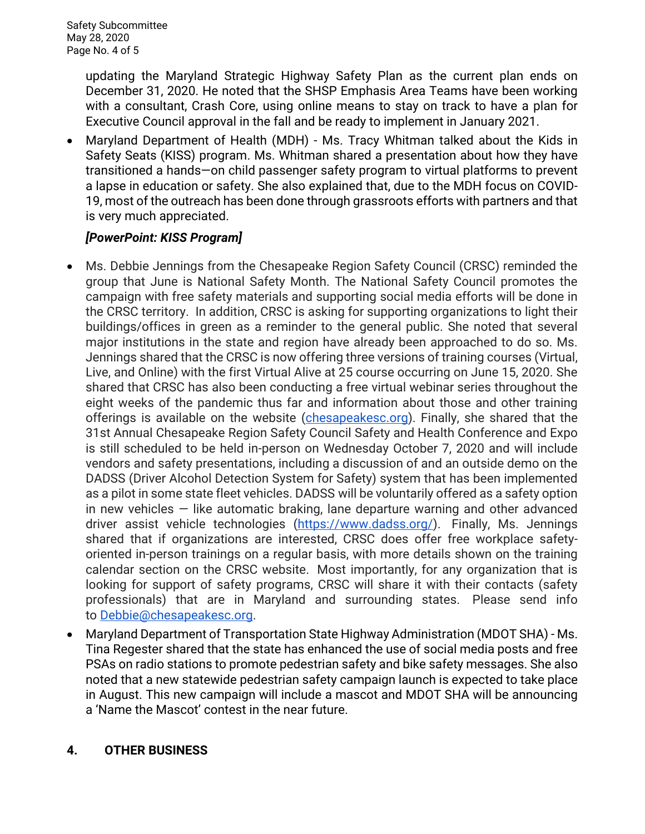updating the Maryland Strategic Highway Safety Plan as the current plan ends on December 31, 2020. He noted that the SHSP Emphasis Area Teams have been working with a consultant, Crash Core, using online means to stay on track to have a plan for Executive Council approval in the fall and be ready to implement in January 2021.

 Maryland Department of Health (MDH) - Ms. Tracy Whitman talked about the Kids in Safety Seats (KISS) program. Ms. Whitman shared a presentation about how they have transitioned a hands—on child passenger safety program to virtual platforms to prevent a lapse in education or safety. She also explained that, due to the MDH focus on COVID-19, most of the outreach has been done through grassroots efforts with partners and that is very much appreciated.

# *[PowerPoint: KISS Program]*

- Ms. Debbie Jennings from the Chesapeake Region Safety Council (CRSC) reminded the group that June is National Safety Month. The National Safety Council promotes the campaign with free safety materials and supporting social media efforts will be done in the CRSC territory. In addition, CRSC is asking for supporting organizations to light their buildings/offices in green as a reminder to the general public. She noted that several major institutions in the state and region have already been approached to do so. Ms. Jennings shared that the CRSC is now offering three versions of training courses (Virtual, Live, and Online) with the first Virtual Alive at 25 course occurring on June 15, 2020. She shared that CRSC has also been conducting a free virtual webinar series throughout the eight weeks of the pandemic thus far and information about those and other training offerings is available on the website [\(chesapeakesc.org\)](http://chesapeakesc.org/). Finally, she shared that the 31st Annual Chesapeake Region Safety Council Safety and Health Conference and Expo is still scheduled to be held in-person on Wednesday October 7, 2020 and will include vendors and safety presentations, including a discussion of and an outside demo on the DADSS (Driver Alcohol Detection System for Safety) system that has been implemented as a pilot in some state fleet vehicles. DADSS will be voluntarily offered as a safety option in new vehicles — like automatic braking, lane departure warning and other advanced driver assist vehicle technologies [\(https://www.dadss.org/\)](https://www.dadss.org/). Finally, Ms. Jennings shared that if organizations are interested, CRSC does offer free workplace safetyoriented in-person trainings on a regular basis, with more details shown on the training calendar section on the CRSC website. Most importantly, for any organization that is looking for support of safety programs, CRSC will share it with their contacts (safety professionals) that are in Maryland and surrounding states. Please send info to [Debbie@chesapeakesc.org.](mailto:Debbie@chesapeakesc.org)
- Maryland Department of Transportation State Highway Administration (MDOT SHA) Ms. Tina Regester shared that the state has enhanced the use of social media posts and free PSAs on radio stations to promote pedestrian safety and bike safety messages. She also noted that a new statewide pedestrian safety campaign launch is expected to take place in August. This new campaign will include a mascot and MDOT SHA will be announcing a 'Name the Mascot' contest in the near future.

# **4. OTHER BUSINESS**